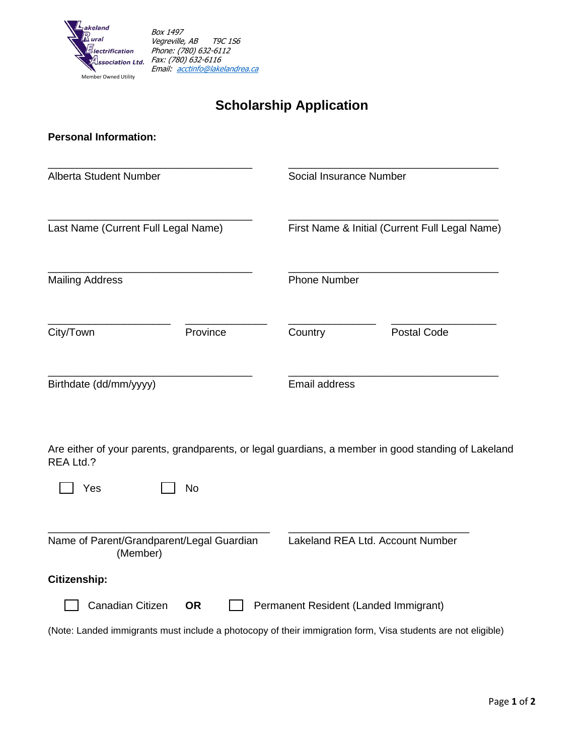

# **Scholarship Application**

## **Personal Information:**

| Alberta Student Number<br>Last Name (Current Full Legal Name)<br><b>Mailing Address</b> |           |                                       | Social Insurance Number<br>First Name & Initial (Current Full Legal Name)<br><b>Phone Number</b>             |  |
|-----------------------------------------------------------------------------------------|-----------|---------------------------------------|--------------------------------------------------------------------------------------------------------------|--|
|                                                                                         |           |                                       |                                                                                                              |  |
|                                                                                         |           |                                       |                                                                                                              |  |
| City/Town                                                                               | Province  | Country                               | <b>Postal Code</b>                                                                                           |  |
| Birthdate (dd/mm/yyyy)                                                                  |           |                                       | Email address                                                                                                |  |
| REA Ltd.?                                                                               |           |                                       | Are either of your parents, grandparents, or legal guardians, a member in good standing of Lakeland          |  |
| Yes                                                                                     | <b>No</b> |                                       |                                                                                                              |  |
| Name of Parent/Grandparent/Legal Guardian<br>(Member)                                   |           |                                       | Lakeland REA Ltd. Account Number                                                                             |  |
| Citizenship:                                                                            |           |                                       |                                                                                                              |  |
| Canadian Citizen                                                                        | <b>OR</b> | Permanent Resident (Landed Immigrant) |                                                                                                              |  |
|                                                                                         |           |                                       | (Note: Landed immigrants must include a photocopy of their immigration form, Visa students are not eligible) |  |